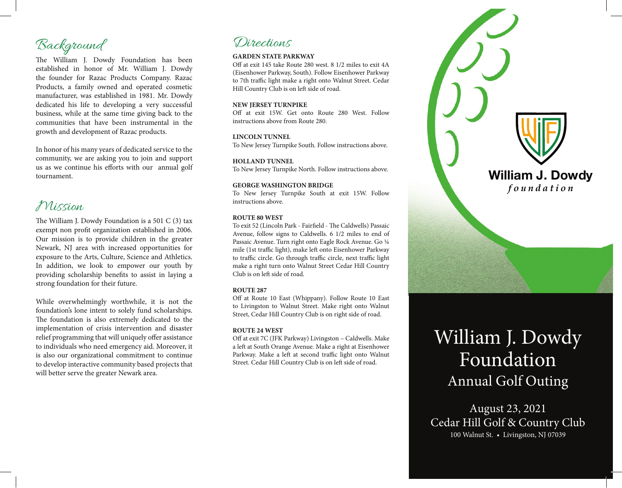## Background

The William J. Dowdy Foundation has been established in honor of Mr. William J. Dowdy the founder for Razac Products Company. Razac Products, a family owned and operated cosmetic manufacturer, was established in 1981. Mr. Dowdy dedicated his life to developing a very successful business, while at the same time giving back to the communities that have been instrumental in the growth and development of Razac products.

In honor of his many years of dedicated service to the community, we are asking you to join and support us as we continue his efforts with our annual golf tournament.

### Mission

The William J. Dowdy Foundation is a 501 C (3) tax exempt non profit organization established in 2006. Our mission is to provide children in the greater Newark, NJ area with increased opportunities for exposure to the Arts, Culture, Science and Athletics. In addition, we look to empower our youth by providing scholarship benefits to assist in laying a strong foundation for their future.

While overwhelmingly worthwhile, it is not the foundation's lone intent to solely fund scholarships. The foundation is also extremely dedicated to the implementation of crisis intervention and disaster relief programming that will uniquely offer assistance to individuals who need emergency aid. Moreover, it is also our organizational commitment to continue to develop interactive community based projects that will better serve the greater Newark area.

### Directions

#### **GARDEN STATE PARKWAY**

Off at exit 145 take Route 280 west. 8 1/2 miles to exit 4A (Eisenhower Parkway, South). Follow Eisenhower Parkway to 7th traffic light make a right onto Walnut Street. Cedar Hill Country Club is on left side of road.

#### **NEW JERSEY TURNPIKE**

Off at exit 15W. Get onto Route 280 West. Follow instructions above from Route 280.

#### **LINCOLN TUNNEL**

To New Jersey Turnpike South. Follow instructions above.

#### **HOLLAND TUNNEL**

To New Jersey Turnpike North. Follow instructions above.

#### **GEORGE WASHINGTON BRIDGE**

To New Jersey Turnpike South at exit 15W. Follow instructions above.

#### **ROUTE 80 WEST**

To exit 52 (Lincoln Park - Fairfield - The Caldwells) Passaic Avenue, follow signs to Caldwells. 6 1/2 miles to end of Passaic Avenue. Turn right onto Eagle Rock Avenue. Go ¼ mile (1st traffic light), make left onto Eisenhower Parkway to traffic circle. Go through traffic circle, next traffic light make a right turn onto Walnut Street Cedar Hill Country Club is on left side of road.

#### **ROUTE 287**

Off at Route 10 East (Whippany). Follow Route 10 East to Livingston to Walnut Street. Make right onto Walnut Street, Cedar Hill Country Club is on right side of road.

#### **ROUTE 24 WEST**

Off at exit 7C (JFK Parkway) Livingston – Caldwells. Make a left at South Orange Avenue. Make a right at Eisenhower Parkway. Make a left at second traffic light onto Walnut Street. Cedar Hill Country Club is on left side of road.



# William J. Dowdy Foundation Annual Golf Outing

August 23, 2021 Cedar Hill Golf & Country Club 100 Walnut St. • Livingston, NJ 07039